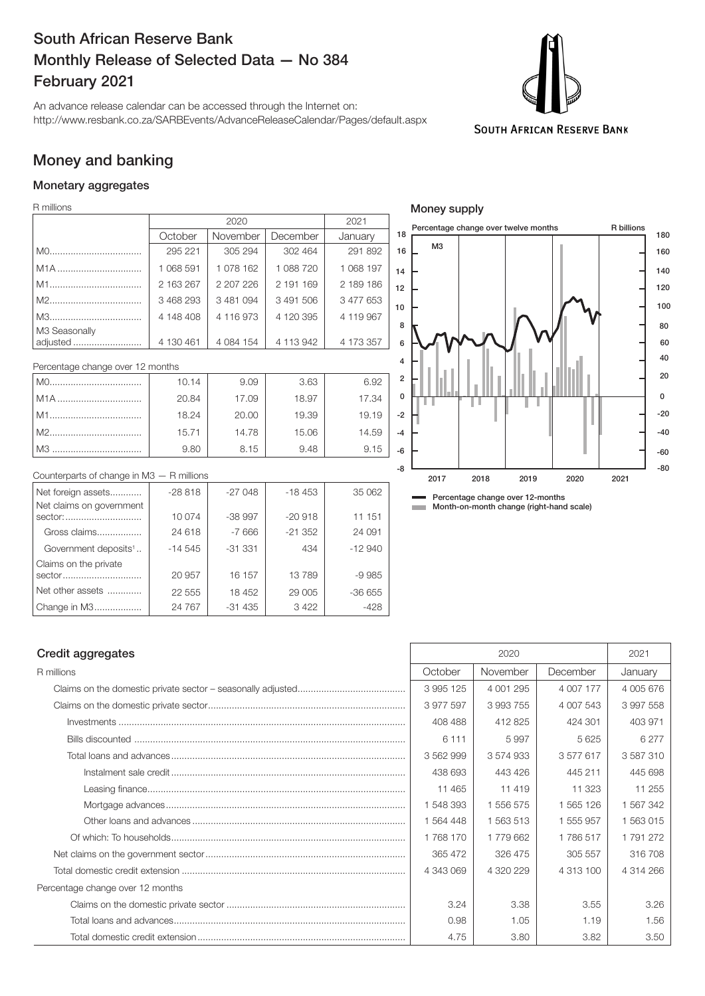## South African Reserve Bank Monthly Release of Selected Data — No 384 February 2021

An advance release calendar can be accessed through the Internet on: http://www.resbank.co.za/SARBEvents/AdvanceReleaseCalendar/Pages/default.aspx



## Money and banking

### Monetary aggregates

R millions

|                           |           | 2020        |           | 2021      |  |
|---------------------------|-----------|-------------|-----------|-----------|--|
|                           | October   | November    | December  | January   |  |
|                           | 295 221   | 305 294     | 302 464   | 291 892   |  |
| M <sub>1</sub> A          | 1 068 591 | 1 078 162   | 1 088 720 | 1 068 197 |  |
|                           | 2 163 267 | 2 207 226   | 2 191 169 | 2 189 186 |  |
|                           | 3 468 293 | 3481094     | 3491506   | 3 477 653 |  |
|                           | 4 148 408 | 4 116 973   | 4 120 395 | 4 119 967 |  |
| M3 Seasonally<br>adjusted | 4 130 461 | 4 0 84 1 54 | 4 113 942 | 4 173 357 |  |

| Percentage change over 12 months |       |       |       |       |    |
|----------------------------------|-------|-------|-------|-------|----|
| M0                               | 10.14 | 9.09  | 3.63  | 6.92  |    |
| l M1A                            | 20.84 | 17.09 | 18.97 | 17.34 |    |
|                                  | 18.24 | 20.00 | 19.39 | 19.19 |    |
|                                  | 15.71 | 14.78 | 15.06 | 14.59 | ٠. |
| l M3.                            | 9.80  | 8.15  | 9.48  | 9.15  |    |

| Counterparts of change in $M3 - R$ millions |          |          |          |          |
|---------------------------------------------|----------|----------|----------|----------|
| Net foreign assets                          | $-28818$ | $-27048$ | $-18453$ | 35 062   |
| Net claims on government                    |          |          |          |          |
| sector:                                     | 10 074   | $-38997$ | $-20918$ | 11 151   |
| Gross claims                                | 24 618   | $-7666$  | $-21352$ | 24 091   |
| Government deposits <sup>1</sup>            | $-14545$ | $-31331$ | 434      | $-12940$ |
| Claims on the private                       |          |          |          |          |
| sector                                      | 20 957   | 16 157   | 13789    | $-9985$  |
| Net other assets                            | 22 555   | 18 452   | 29 005   | $-36655$ |
| Change in M3                                | 24 7 6 7 | $-31435$ | 3 4 2 2  | -428     |



**Month-on-month change (right-hand scale)** 

#### Credit aggregates 2021

| R millions                       | October   | November  | December  | January   |
|----------------------------------|-----------|-----------|-----------|-----------|
|                                  | 3 995 125 | 4 001 295 | 4 007 177 | 4 005 676 |
|                                  | 3977597   | 3993755   | 4 007 543 | 3 997 558 |
|                                  | 408 488   | 412 825   | 424 301   | 403 971   |
|                                  | 6 1 1 1   | 5997      | 5 6 2 5   | 6 2 7 7   |
|                                  | 3 562 999 | 3 574 933 | 3577617   | 3587310   |
|                                  | 438 693   | 443 426   | 445 211   | 445 698   |
|                                  | 11 4 65   | 11 419    | 11 323    | 11 255    |
|                                  | 1 548 393 | 1 556 575 | 1 565 126 | 1 567 342 |
|                                  | 1 564 448 | 1 563 513 | 1 555 957 | 1 563 015 |
|                                  | 1 768 170 | 1 779 662 | 1786517   | 1791272   |
|                                  | 365 472   | 326 475   | 305 557   | 316 708   |
|                                  | 4 343 069 | 4 320 229 | 4 313 100 | 4 314 266 |
| Percentage change over 12 months |           |           |           |           |
|                                  | 3.24      | 3.38      | 3.55      | 3.26      |
|                                  | 0.98      | 1.05      | 1.19      | 1.56      |
|                                  | 4.75      | 3.80      | 3.82      | 3.50      |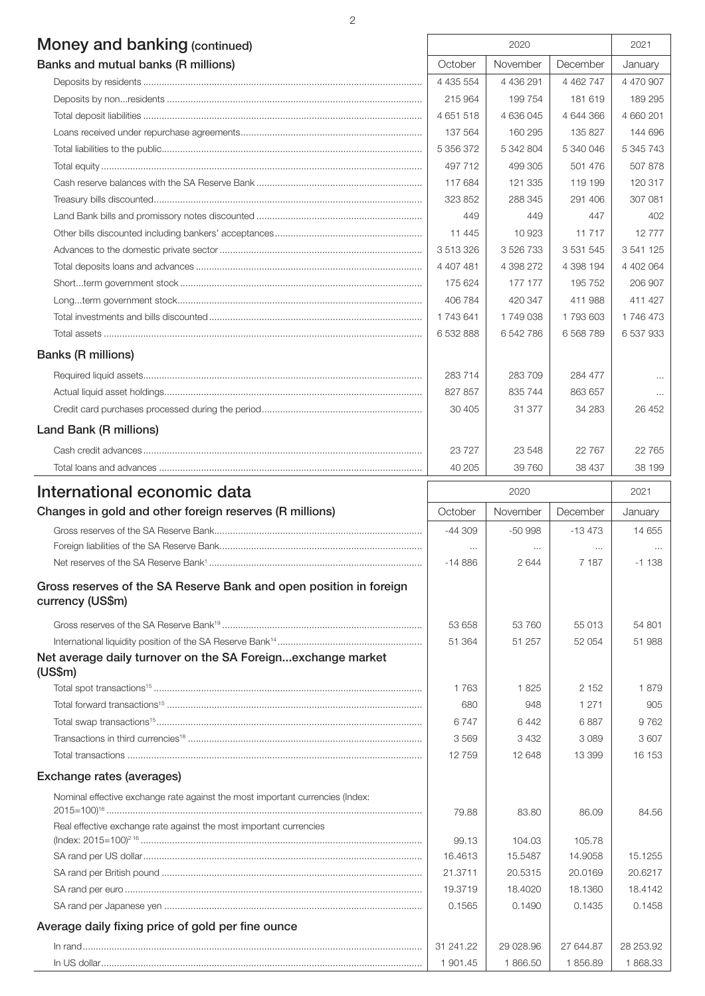2

| Money and banking (continued)                                                          |                      | 2020             |                     | 2021      |
|----------------------------------------------------------------------------------------|----------------------|------------------|---------------------|-----------|
| Banks and mutual banks (R millions)                                                    | October              | November         | December            | January   |
|                                                                                        | 4 4 3 5 5 5 4        | 4 4 3 6 2 9 1    | 4 4 6 2 7 4 7       | 4 470 907 |
|                                                                                        | 215 964              | 199 754          | 181 619             | 189 295   |
|                                                                                        | 4 651 518            | 4 636 045        | 4 644 366           | 4 660 201 |
|                                                                                        | 137 564              | 160 295          | 135 827             | 144 696   |
|                                                                                        | 5 356 372            | 5 342 804        | 5 340 046           | 5 345 743 |
|                                                                                        | 497 712              | 499 305          | 501 476             | 507 878   |
|                                                                                        | 117 684              | 121 335          | 119 199             | 120 317   |
|                                                                                        | 323 852              | 288 345          | 291 406             | 307 081   |
|                                                                                        | 449                  | 449              | 447                 | 402       |
|                                                                                        | 11 445               | 10923            | 11 717              | 12777     |
|                                                                                        | 3 513 326            | 3 526 733        | 3 5 3 1 5 4 5       | 3 541 125 |
|                                                                                        | 4 407 481            | 4 398 272        | 4 398 194           | 4 402 064 |
|                                                                                        | 175 624              | 177 177          | 195 752             | 206 907   |
|                                                                                        | 406 784              | 420 347          | 411 988             | 411 427   |
|                                                                                        | 1 743 641            | 1749038          | 1793603             | 1 746 473 |
|                                                                                        | 6 532 888            | 6 542 786        | 6 5 68 7 89         | 6 537 933 |
| <b>Banks (R millions)</b>                                                              |                      |                  |                     |           |
|                                                                                        | 283714               | 283709           | 284 477             |           |
|                                                                                        | 827 857              | 835 744          | 863 657             | $\cdots$  |
|                                                                                        | 30 405               | 31 377           | 34 283              | 26 452    |
| Land Bank (R millions)                                                                 |                      |                  |                     |           |
|                                                                                        | 23727                | 23 548           | 22 7 6 7            | 22 7 65   |
|                                                                                        | 40 205               | 39 760           | 38 437              | 38 199    |
| International economic data                                                            |                      | 2020             |                     | 2021      |
| Changes in gold and other foreign reserves (R millions)                                | October              | November         | December            | January   |
|                                                                                        |                      |                  |                     |           |
|                                                                                        | -44 309              | $-50998$         | $-13473$            | 14 655    |
|                                                                                        | $\cdots$<br>$-14886$ | $\cdots$<br>2644 | $\cdots$<br>7 1 8 7 | $-1138$   |
| Gross reserves of the SA Reserve Bank and open position in foreign<br>currency (US\$m) |                      |                  |                     |           |
|                                                                                        | 53 658               | 53 760           | 55 013              | 54 801    |
|                                                                                        | 51 364               | 51 257           | 52 054              | 51 988    |
| Net average daily turnover on the SA Foreignexchange market<br>(US\$m)                 |                      |                  |                     |           |
|                                                                                        | 1763                 | 1825             | 2 1 5 2             | 1879      |
|                                                                                        | 680                  | 948              | 1 2 7 1             | 905       |
|                                                                                        | 6747                 | 6442             | 6887                | 9762      |
|                                                                                        | 3569                 | 3 4 3 2          | 3089                | 3607      |
|                                                                                        | 12759                | 12 648           | 13 399              | 16 153    |
| Exchange rates (averages)                                                              |                      |                  |                     |           |
| Nominal effective exchange rate against the most important currencies (Index:          | 79.88                | 83.80            | 86.09               | 84.56     |
| Real effective exchange rate against the most important currencies                     |                      |                  |                     |           |
|                                                                                        | 99.13                | 104.03           | 105.78              |           |
|                                                                                        | 16.4613              | 15.5487          | 14.9058             | 15.1255   |
|                                                                                        | 21.3711              | 20.5315          | 20.0169             | 20.6217   |
|                                                                                        | 19.3719              | 18.4020          | 18.1360             | 18.4142   |
|                                                                                        | 0.1565               | 0.1490           | 0.1435              | 0.1458    |
| Average daily fixing price of gold per fine ounce                                      |                      |                  |                     |           |
|                                                                                        | 31 241.22            | 29 028.96        | 27 644.87           | 28 253.92 |
|                                                                                        | 1 901.45             | 1866.50          | 1856.89             | 1868.33   |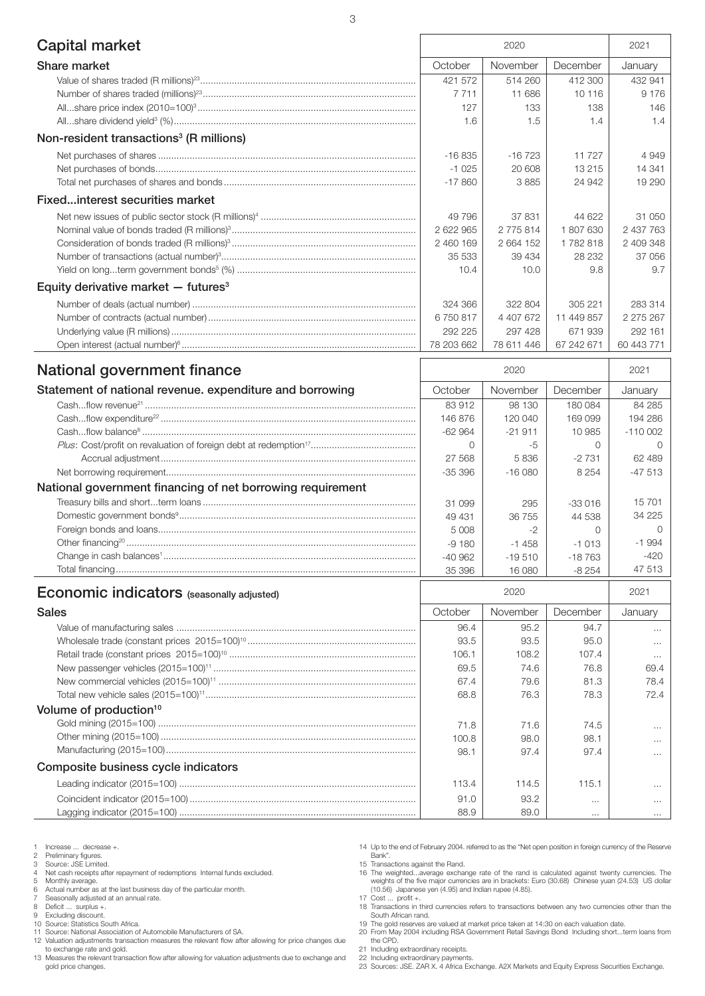| Capital market                                                   |            | 2020       |            | 2021       |
|------------------------------------------------------------------|------------|------------|------------|------------|
| Share market                                                     | October    | November   | December   | January    |
|                                                                  | 421 572    | 514 260    | 412 300    | 432 941    |
|                                                                  | 7 7 1 1    | 11 686     | 10 116     | 9 1 7 6    |
|                                                                  | 127        | 133        | 138        | 146        |
|                                                                  | 1.6        | 1.5        | 1.4        | 1.4        |
| Non-resident transactions <sup>3</sup> (R millions)              |            |            |            |            |
|                                                                  | $-16835$   | $-16723$   | 11 727     | 4949       |
|                                                                  | $-1025$    | 20 608     | 13 215     | 14 341     |
|                                                                  | $-17860$   | 3885       | 24 942     | 19 290     |
| Fixedinterest securities market                                  |            |            |            |            |
|                                                                  | 49 796     | 37 831     | 44 622     | 31 050     |
|                                                                  | 2 622 965  | 2 775 814  | 1 807 630  | 2 437 763  |
|                                                                  | 2 460 169  | 2 664 152  | 1782818    | 2 409 348  |
|                                                                  | 35 533     | 39 4 34    | 28 232     | 37 056     |
|                                                                  | 10.4       | 10.0       | 9.8        | 9.7        |
| Equity derivative market $-$ futures <sup>3</sup>                |            |            |            |            |
|                                                                  | 324 366    | 322 804    | 305 221    | 283 314    |
|                                                                  | 6750817    | 4 407 672  | 11 449 857 | 2 275 267  |
|                                                                  | 292 225    | 297 428    | 671939     | 292 161    |
|                                                                  | 78 203 662 | 78 611 446 | 67 242 671 | 60 443 771 |
| National government finance                                      |            | 2020       |            |            |
|                                                                  |            |            |            | 2021       |
| Statement of national revenue. expenditure and borrowing         | October    | November   | December   | January    |
|                                                                  | 83 912     | 98 130     | 180 084    | 84 285     |
|                                                                  | 146 876    | 120 040    | 169 099    | 194 286    |
|                                                                  | $-62964$   | $-21911$   | 10 985     | $-110002$  |
|                                                                  | 0          | -5         | 0          | $\Omega$   |
|                                                                  | 27 5 68    | 5836       | $-2731$    | 62 489     |
|                                                                  | $-35396$   | $-1600$    | 8 2 5 4    | $-47513$   |
| National government financing of net borrowing requirement       |            |            |            |            |
|                                                                  | 31 099     | 295        | $-33016$   | 15701      |
|                                                                  | 49 431     | 36 755     | 44 538     | 34 2 25    |
|                                                                  | 5 0 0 8    | $-2$       | $\Omega$   | $\Omega$   |
|                                                                  | $-9180$    | $-1458$    | $-1013$    | $-1994$    |
|                                                                  | $-40962$   | $-19510$   | $-18763$   | $-420$     |
|                                                                  | 35 396     | 16 080     | $-8254$    | 47 513     |
|                                                                  |            | 2020       |            | 2021       |
| <b>Economic indicators</b> (seasonally adjusted)<br><b>Sales</b> | October    | November   | December   | January    |
|                                                                  | 96.4       | 95.2       | 94.7       |            |
|                                                                  | 93.5       | 93.5       | 95.0       |            |
|                                                                  | 106.1      | 108.2      | 107.4      | $\cdots$   |
|                                                                  | 69.5       | 74.6       | 76.8       | 69.4       |

# Volume of production<sup>10</sup> Gold mining (2015=100) .................................................................................................. 71.8 71.6 74.5 ...

## Other mining (2015=100) ................................................................................................. 100.8 98.0 98.1 ... Manufacturing (2015=100)............................................................................................... 98.1 97.4 97.4 ... Composite business cycle indicators Leading indicator (2015=100) .......................................................................................... 113.4 114.5 115.1 ... Coincident indicator (2015=100) ...................................................................................... 91.0 93.2 ... ... Lagging indicator (2015=100) .......................................................................................... 88.9 89.0 ... ...

Total new vehicle sales (2015=100)11................................................................................ 68.8 76.3 78.3 72.4

1 Increase ... decrease +.<br>2 Preliminary figures.<br>3 Source: JSE Limited.

2 Preliminary figures. 3 Source: JSE Limited.

4 Net cash receipts after repayment of redemptions Internal funds excluded.<br>5 Monthly average.

5 Monthly average.<br>6 Actual number as 6 Actual number as at the last business day of the particular month.<br>
6 Actual number as at the last business day of the particular month.<br>
8 Deficit ... surplus +.

7 Seasonally adjusted at an annual rate. 8 Deficit ... surplus +.

9 Excluding discount. 10 Source: Statistics South Africa.

11 Source: National Association of Automobile Manufacturers of SA.

12 Valuation adjustments transaction measures the relevant flow after allowing for price changes due to exchange rate and gold.

13 Measures the relevant transaction flow after allowing for valuation adjustments due to exchange and gold price changes.

14 Up to the end of February 2004. referred to as the "Net open position in foreign currency of the Reserve Bank". 15 Transactions against the Rand.

16 The weighted...average exchange rate of the rand is calculated against twenty currencies. The weights of the five major currencies are in brackets: Euro (30.68) Chinese yuan (24.53) US dollar (10.56) Japanese yen (4.95) and Indian rupee (4.85).

17 Cost ... profit +. 18 Transactions in third currencies refers to transactions between any two currencies other than the

South African rand. 19 The gold reserves are valued at market price taken at 14:30 on each valuation date.

20 From May 2004 including RSA Government Retail Savings Bond Including short...term loans from the CPD.

21 Including extraordinary receipts.

22 Including extraordinary payments. 23 Sources: JSE. ZAR X. 4 Africa Exchange. A2X Markets and Equity Express Securities Exchange.